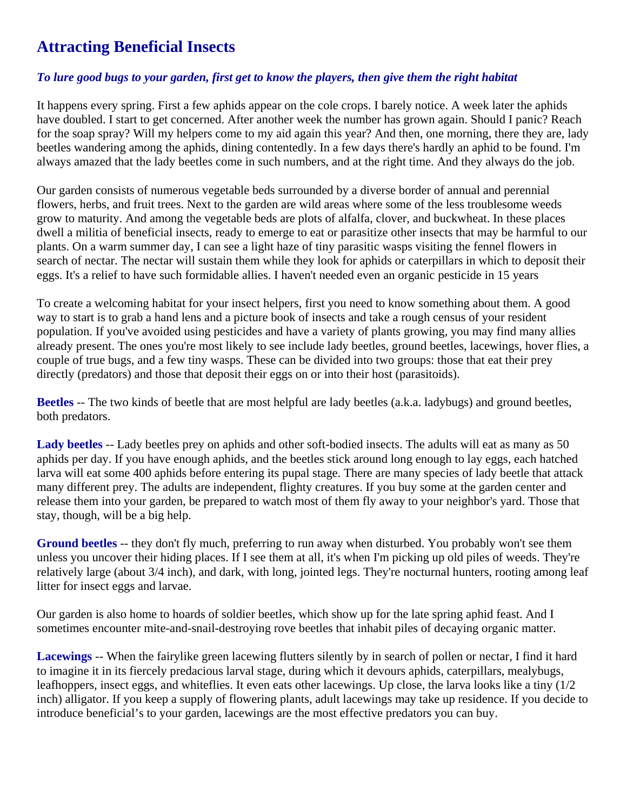## **Attracting Beneficial Insects**

## *To lure good bugs to your garden, first get to know the players, then give them the right habitat*

It happens every spring. First a few aphids appear on the cole crops. I barely notice. A week later the aphids have doubled. I start to get concerned. After another week the number has grown again. Should I panic? Reach for the soap spray? Will my helpers come to my aid again this year? And then, one morning, there they are, lady beetles wandering among the aphids, dining contentedly. In a few days there's hardly an aphid to be found. I'm always amazed that the lady beetles come in such numbers, and at the right time. And they always do the job.

Our garden consists of numerous vegetable beds surrounded by a diverse border of annual and perennial flowers, herbs, and fruit trees. Next to the garden are wild areas where some of the less troublesome weeds grow to maturity. And among the vegetable beds are plots of alfalfa, clover, and buckwheat. In these places dwell a militia of beneficial insects, ready to emerge to eat or parasitize other insects that may be harmful to our plants. On a warm summer day, I can see a light haze of tiny parasitic wasps visiting the fennel flowers in search of nectar. The nectar will sustain them while they look for aphids or caterpillars in which to deposit their eggs. It's a relief to have such formidable allies. I haven't needed even an organic pesticide in 15 years

To create a welcoming habitat for your insect helpers, first you need to know something about them. A good way to start is to grab a hand lens and a picture book of insects and take a rough census of your resident population. If you've avoided using pesticides and have a variety of plants growing, you may find many allies already present. The ones you're most likely to see include lady beetles, ground beetles, lacewings, hover flies, a couple of true bugs, and a few tiny wasps. These can be divided into two groups: those that eat their prey directly (predators) and those that deposit their eggs on or into their host (parasitoids).

**Beetles** -- The two kinds of beetle that are most helpful are lady beetles (a.k.a. ladybugs) and ground beetles, both predators.

**Lady beetles** -- Lady beetles prey on aphids and other soft-bodied insects. The adults will eat as many as 50 aphids per day. If you have enough aphids, and the beetles stick around long enough to lay eggs, each hatched larva will eat some 400 aphids before entering its pupal stage. There are many species of lady beetle that attack many different prey. The adults are independent, flighty creatures. If you buy some at the garden center and release them into your garden, be prepared to watch most of them fly away to your neighbor's yard. Those that stay, though, will be a big help.

**Ground beetles** -- they don't fly much, preferring to run away when disturbed. You probably won't see them unless you uncover their hiding places. If I see them at all, it's when I'm picking up old piles of weeds. They're relatively large (about 3/4 inch), and dark, with long, jointed legs. They're nocturnal hunters, rooting among leaf litter for insect eggs and larvae.

Our garden is also home to hoards of soldier beetles, which show up for the late spring aphid feast. And I sometimes encounter mite-and-snail-destroying rove beetles that inhabit piles of decaying organic matter.

**Lacewings** -- When the fairylike green lacewing flutters silently by in search of pollen or nectar, I find it hard to imagine it in its fiercely predacious larval stage, during which it devours aphids, caterpillars, mealybugs, leafhoppers, insect eggs, and whiteflies. It even eats other lacewings. Up close, the larva looks like a tiny (1/2 inch) alligator. If you keep a supply of flowering plants, adult lacewings may take up residence. If you decide to introduce beneficial's to your garden, lacewings are the most effective predators you can buy.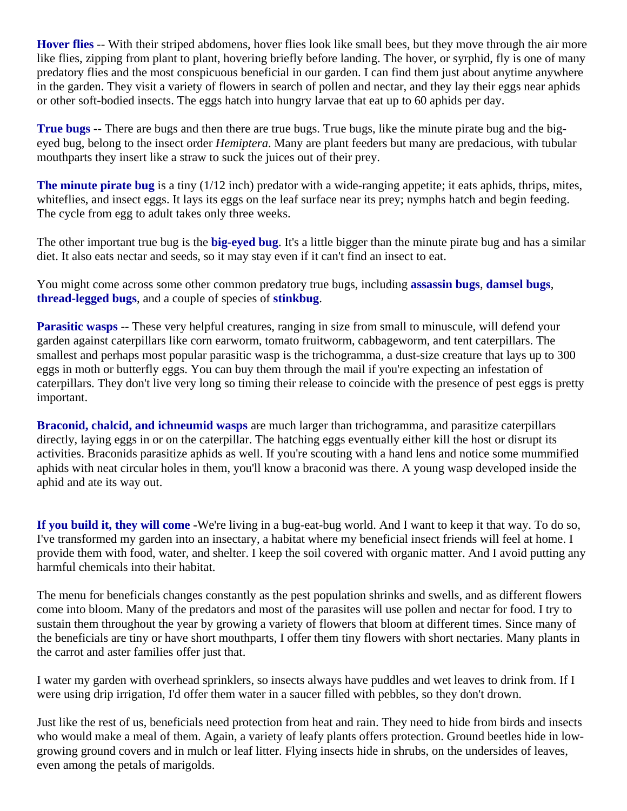**Hover flies** -- With their striped abdomens, hover flies look like small bees, but they move through the air more like flies, zipping from plant to plant, hovering briefly before landing. The hover, or syrphid, fly is one of many predatory flies and the most conspicuous beneficial in our garden. I can find them just about anytime anywhere in the garden. They visit a variety of flowers in search of pollen and nectar, and they lay their eggs near aphids or other soft-bodied insects. The eggs hatch into hungry larvae that eat up to 60 aphids per day.

**True bugs** -- There are bugs and then there are true bugs. True bugs, like the minute pirate bug and the bigeyed bug, belong to the insect order *Hemiptera*. Many are plant feeders but many are predacious, with tubular mouthparts they insert like a straw to suck the juices out of their prey.

**The minute pirate bug** is a tiny (1/12 inch) predator with a wide-ranging appetite; it eats aphids, thrips, mites, whiteflies, and insect eggs. It lays its eggs on the leaf surface near its prey; nymphs hatch and begin feeding. The cycle from egg to adult takes only three weeks.

The other important true bug is the **big-eyed bug**. It's a little bigger than the minute pirate bug and has a similar diet. It also eats nectar and seeds, so it may stay even if it can't find an insect to eat.

You might come across some other common predatory true bugs, including **assassin bugs**, **damsel bugs**, **thread-legged bugs**, and a couple of species of **stinkbug**.

**Parasitic wasps** -- These very helpful creatures, ranging in size from small to minuscule, will defend your garden against caterpillars like corn earworm, tomato fruitworm, cabbageworm, and tent caterpillars. The smallest and perhaps most popular parasitic wasp is the trichogramma, a dust-size creature that lays up to 300 eggs in moth or butterfly eggs. You can buy them through the mail if you're expecting an infestation of caterpillars. They don't live very long so timing their release to coincide with the presence of pest eggs is pretty important.

**Braconid, chalcid, and ichneumid wasps** are much larger than trichogramma, and parasitize caterpillars directly, laying eggs in or on the caterpillar. The hatching eggs eventually either kill the host or disrupt its activities. Braconids parasitize aphids as well. If you're scouting with a hand lens and notice some mummified aphids with neat circular holes in them, you'll know a braconid was there. A young wasp developed inside the aphid and ate its way out.

**If you build it, they will come -**We're living in a bug-eat-bug world. And I want to keep it that way. To do so, I've transformed my garden into an insectary, a habitat where my beneficial insect friends will feel at home. I provide them with food, water, and shelter. I keep the soil covered with organic matter. And I avoid putting any harmful chemicals into their habitat.

The menu for beneficials changes constantly as the pest population shrinks and swells, and as different flowers come into bloom. Many of the predators and most of the parasites will use pollen and nectar for food. I try to sustain them throughout the year by growing a variety of flowers that bloom at different times. Since many of the beneficials are tiny or have short mouthparts, I offer them tiny flowers with short nectaries. Many plants in the carrot and aster families offer just that.

I water my garden with overhead sprinklers, so insects always have puddles and wet leaves to drink from. If I were using drip irrigation, I'd offer them water in a saucer filled with pebbles, so they don't drown.

Just like the rest of us, beneficials need protection from heat and rain. They need to hide from birds and insects who would make a meal of them. Again, a variety of leafy plants offers protection. Ground beetles hide in lowgrowing ground covers and in mulch or leaf litter. Flying insects hide in shrubs, on the undersides of leaves, even among the petals of marigolds.